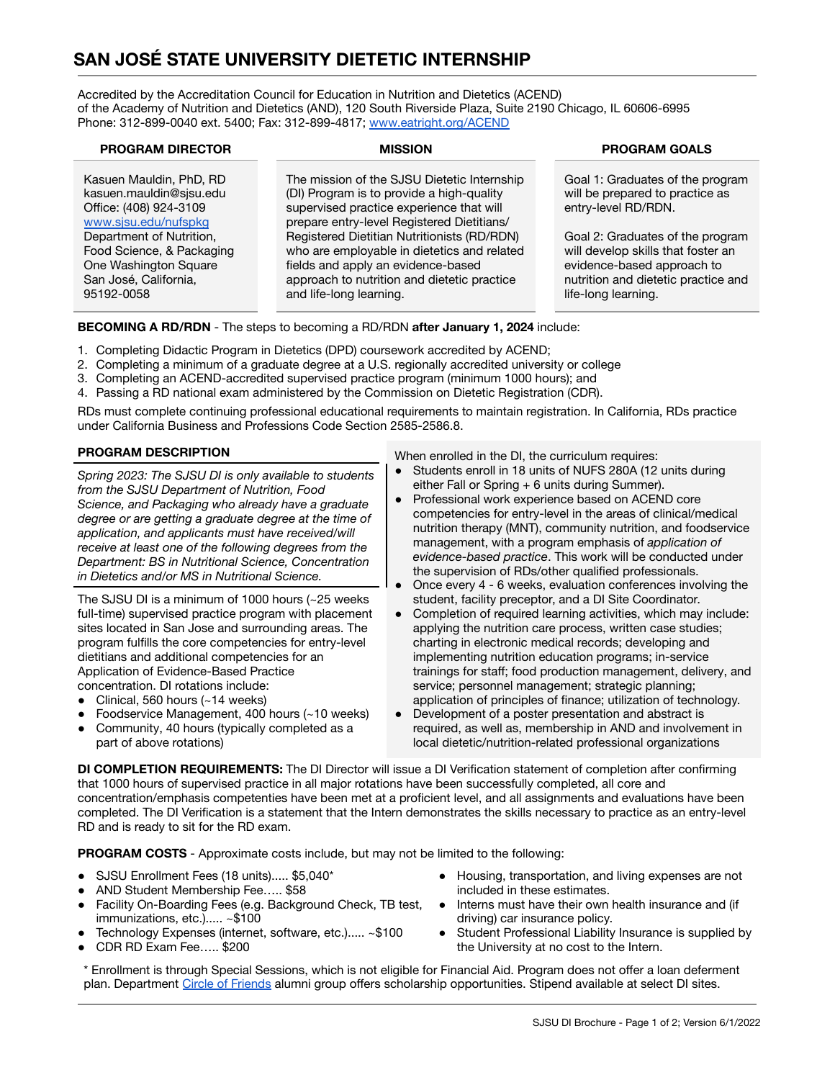# **SAN JOSÉ STATE UNIVERSITY DIETETIC INTERNSHIP**

Accredited by the Accreditation Council for Education in Nutrition and Dietetics (ACEND) of the Academy of Nutrition and Dietetics (AND), 120 South Riverside Plaza, Suite 2190 Chicago, IL 60606-6995 Phone: 312-899-0040 ext. 5400; Fax: 312-899-4817; [www.eatright.org/ACEND](http://www.eatright.org/ACEND)

| <b>PROGRAM DIRECTOR</b>                                                                                               | <b>MISSION</b>                                                                                                                                                                                             | <b>PROGRAM GOALS</b>                                                                                                                                               |
|-----------------------------------------------------------------------------------------------------------------------|------------------------------------------------------------------------------------------------------------------------------------------------------------------------------------------------------------|--------------------------------------------------------------------------------------------------------------------------------------------------------------------|
| Kasuen Mauldin, PhD, RD<br>kasuen.mauldin@sisu.edu<br>Office: (408) 924-3109<br>www.sjsu.edu/nufspkg                  | The mission of the SJSU Dietetic Internship<br>(DI) Program is to provide a high-quality<br>supervised practice experience that will<br>prepare entry-level Registered Dietitians/                         | Goal 1: Graduates of the program<br>will be prepared to practice as<br>entry-level RD/RDN.                                                                         |
| Department of Nutrition,<br>Food Science, & Packaging<br>One Washington Square<br>San José, California,<br>95192-0058 | Registered Dietitian Nutritionists (RD/RDN)<br>who are employable in dietetics and related<br>fields and apply an evidence-based<br>approach to nutrition and dietetic practice<br>and life-long learning. | Goal 2: Graduates of the program<br>will develop skills that foster an<br>evidence-based approach to<br>nutrition and dietetic practice and<br>life-long learning. |

### **BECOMING A RD/RDN** - The steps to becoming a RD/RDN **after January 1, 2024** include:

- 1. Completing Didactic Program in Dietetics (DPD) coursework accredited by ACEND;
- 2. Completing a minimum of a graduate degree at a U.S. regionally accredited university or college
- 3. Completing an ACEND-accredited supervised practice program (minimum 1000 hours); and
- 4. Passing a RD national exam administered by the Commission on Dietetic Registration (CDR).

RDs must complete continuing professional educational requirements to maintain registration. In California, RDs practice under California Business and Professions Code Section 2585-2586.8.

*Spring 2023: The SJSU DI is only available to students from the SJSU Department of Nutrition, Food Science, and Packaging who already have a graduate degree or are getting a graduate degree at the time of application, and applicants must have received/will receive at least one of the following degrees from the Department: BS in Nutritional Science, Concentration in Dietetics and/or MS in Nutritional Science.*

The SJSU DI is a minimum of 1000 hours (~25 weeks full-time) supervised practice program with placement sites located in San Jose and surrounding areas. The program fulfills the core competencies for entry-level dietitians and additional competencies for an Application of Evidence-Based Practice concentration. DI rotations include:

- Clinical, 560 hours  $(-14$  weeks)
- Foodservice Management,  $400$  hours (~10 weeks)
- Community, 40 hours (typically completed as a part of above rotations)
- **PROGRAM DESCRIPTION** When enrolled in the DI, the curriculum requires:
	- Students enroll in 18 units of NUFS 280A (12 units during either Fall or Spring + 6 units during Summer).
	- Professional work experience based on ACEND core competencies for entry-level in the areas of clinical/medical nutrition therapy (MNT), community nutrition, and foodservice management, with a program emphasis of *application of evidence-based practice*. This work will be conducted under the supervision of RDs/other qualified professionals.
	- Once every 4 6 weeks, evaluation conferences involving the student, facility preceptor, and a DI Site Coordinator.
	- Completion of required learning activities, which may include: applying the nutrition care process, written case studies; charting in electronic medical records; developing and implementing nutrition education programs; in-service trainings for staff; food production management, delivery, and service; personnel management; strategic planning; application of principles of finance; utilization of technology.
	- Development of a poster presentation and abstract is required, as well as, membership in AND and involvement in local dietetic/nutrition-related professional organizations

**DI COMPLETION REQUIREMENTS:** The DI Director will issue a DI Verification statement of completion after confirming that 1000 hours of supervised practice in all major rotations have been successfully completed, all core and concentration/emphasis competenties have been met at a proficient level, and all assignments and evaluations have been completed. The DI Verification is a statement that the Intern demonstrates the skills necessary to practice as an entry-level RD and is ready to sit for the RD exam.

**PROGRAM COSTS** - Approximate costs include, but may not be limited to the following:

- SJSU Enrollment Fees (18 units)..... \$5,040\*
- AND Student Membership Fee..... \$58
- Facility On-Boarding Fees (e.g. Background Check, TB test, immunizations, etc.)..... ~\$100
- Technology Expenses (internet, software, etc.)..... ~\$100
- CDR RD Exam Fee….. \$200
- Housing, transportation, and living expenses are not included in these estimates.
- Interns must have their own health insurance and (if driving) car insurance policy.
- Student Professional Liability Insurance is supplied by the University at no cost to the Intern.

\* Enrollment is through Special Sessions, which is not eligible for Financial Aid. Program does not offer a loan deferment plan. Department [Circle of Friends](http://www.sjsu.edu/nufspkg/about-us/circle-of-friends/index.html) alumni group offers scholarship opportunities. Stipend available at select DI sites.